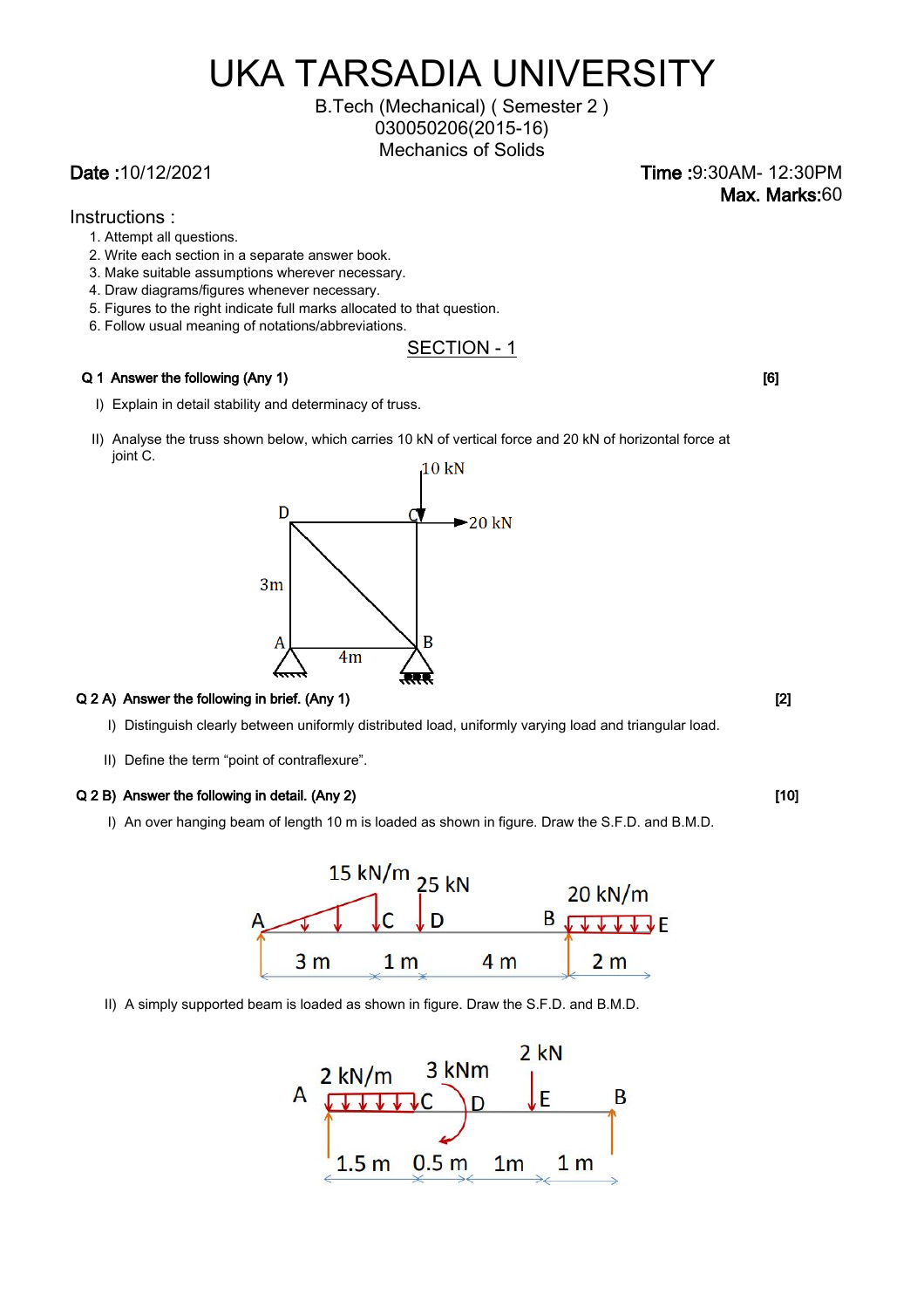# UKA TARSADIA UNIVERSITY

Mechanics of Solids B.Tech (Mechanical) ( Semester 2 ) 030050206(2015-16)

Date :10/12/2021 Time :9:30AM- 12:30PM Max. Marks:60

- Instructions :
	- 1. Attempt all questions.
	- 2. Write each section in a separate answer book.
	- 3. Make suitable assumptions wherever necessary.
	- 4. Draw diagrams/figures whenever necessary.
	- 5. Figures to the right indicate full marks allocated to that question.
	- 6. Follow usual meaning of notations/abbreviations.

## SECTION - 1

#### Q 1 Answer the following (Any 1) [6] **Contract the following (Any 1)** [6]

- I) Explain in detail stability and determinacy of truss.
- II) Analyse the truss shown below, which carries 10 kN of vertical force and 20 kN of horizontal force at joint C.  $10 \text{ kN}$



#### Q 2 A) Answer the following in brief. (Any 1) [2]

- I) Distinguish clearly between uniformly distributed load, uniformly varying load and triangular load.
- II) Define the term "point of contraflexure".

#### Q 2 B) Answer the following in detail. (Any 2) [10] [10] [10]

I) An over hanging beam of length 10 m is loaded as shown in figure. Draw the S.F.D. and B.M.D.



II) A simply supported beam is loaded as shown in figure. Draw the S.F.D. and B.M.D.

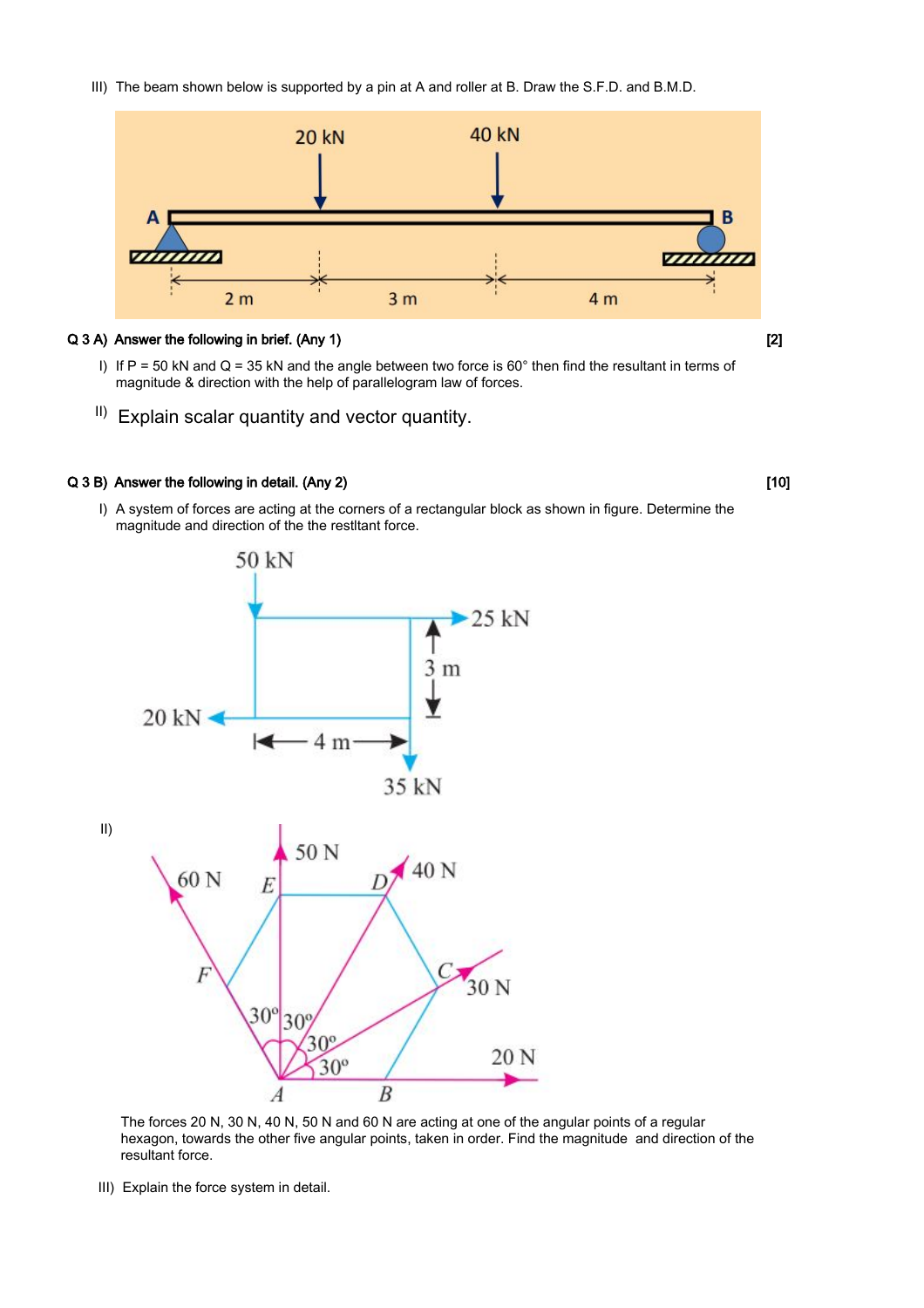III) The beam shown below is supported by a pin at A and roller at B. Draw the S.F.D. and B.M.D.



### Q 3 A) Answer the following in brief. (Any 1) [2] [2]

- I) If P = 50 kN and Q = 35 kN and the angle between two force is  $60^\circ$  then find the resultant in terms of magnitude & direction with the help of parallelogram law of forces.
- $\vert$  Explain scalar quantity and vector quantity.

#### Q 3 B) Answer the following in detail. (Any 2) [10] [10]

I) A system of forces are acting at the corners of a rectangular block as shown in figure. Determine the magnitude and direction of the the restltant force.



resultant force. hexagon, towards the other five angular points, taken in order. Find the magnitude and direction of the The forces 20 N, 30 N, 40 N, 50 N and 60 N are acting at one of the angular points of a regular

III) Explain the force system in detail.